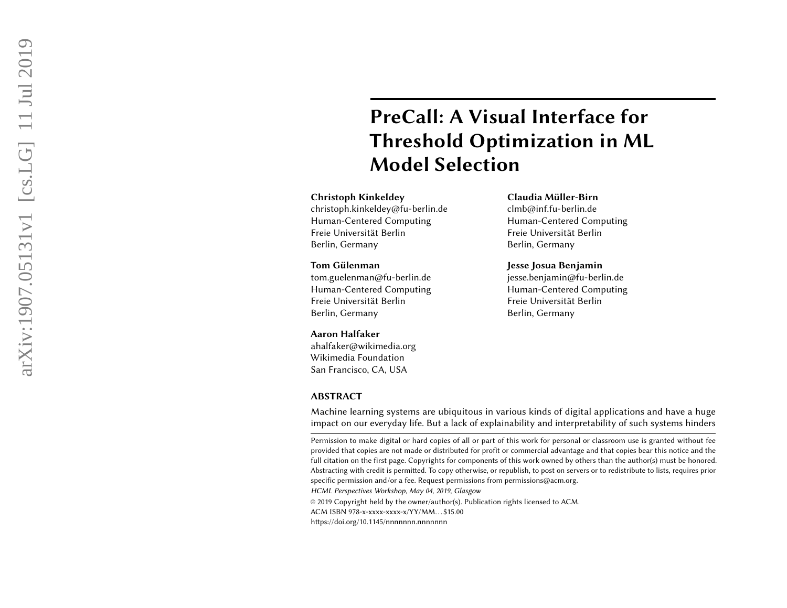# PreCall: A Visual Interface for Threshold Optimization in ML Model Selection

## Christoph Kinkeldey

christoph.kinkeldey@fu-berlin.de Human-Centered Computing Freie Universität Berlin Berlin, Germany

## Tom Gülenman

tom.guelenman@fu-berlin.de Human-Centered Computing Freie Universität Berlin Berlin, Germany

#### Aaron Halfaker

ahalfaker@wikimedia.org Wikimedia Foundation San Francisco, CA, USA

# ABSTRACT

## Claudia Müller-Birn

clmb@inf.fu-berlin.de Human-Centered Computing Freie Universität Berlin Berlin, Germany

### Jesse Josua Benjamin

jesse.benjamin@fu-berlin.de Human-Centered Computing Freie Universität Berlin Berlin, Germany

Machine learning systems are ubiquitous in various kinds of digital applications and have a huge impact on our everyday life. But a lack of explainability and interpretability of such systems hinders

© 2019 Copyright held by the owner/author(s). Publication rights licensed to ACM.

ACM ISBN 978-x-xxxx-xxxx-x/YY/MM. . . \$15.00

https://doi.org/10.1145/nnnnnnnn.nnnnnnn

Permission to make digital or hard copies of all or part of this work for personal or classroom use is granted without fee provided that copies are not made or distributed for profit or commercial advantage and that copies bear this notice and the full citation on the first page. Copyrights for components of this work owned by others than the author(s) must be honored. Abstracting with credit is permitted. To copy otherwise, or republish, to post on servers or to redistribute to lists, requires prior specific permission and/or a fee. Request permissions from permissions@acm.org. HCML Perspectives Workshop, May 04, 2019, Glasgow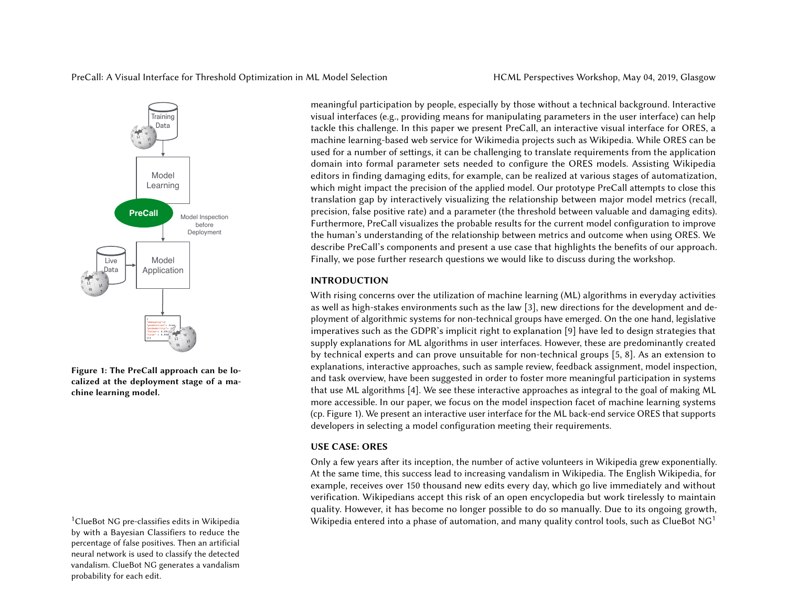

Figure 1: The PreCall approach can be localized at the deployment stage of a machine learning model.

<span id="page-1-1"></span>by with a Bayesian Classifiers to reduce the percentage of false positives. Then an artificial neural network is used to classify the detected vandalism. ClueBot NG generates a vandalism probability for each edit.

meaningful participation by people, especially by those without a technical background. Interactive visual interfaces (e.g., providing means for manipulating parameters in the user interface) can help tackle this challenge. In this paper we present PreCall, an interactive visual interface for ORES, a machine learning-based web service for Wikimedia projects such as Wikipedia. While ORES can be used for a number of settings, it can be challenging to translate requirements from the application domain into formal parameter sets needed to configure the ORES models. Assisting Wikipedia editors in finding damaging edits, for example, can be realized at various stages of automatization, which might impact the precision of the applied model. Our prototype PreCall attempts to close this translation gap by interactively visualizing the relationship between major model metrics (recall, precision, false positive rate) and a parameter (the threshold between valuable and damaging edits). Furthermore, PreCall visualizes the probable results for the current model configuration to improve the human's understanding of the relationship between metrics and outcome when using ORES. We describe PreCall's components and present a use case that highlights the benefits of our approach. Finally, we pose further research questions we would like to discuss during the workshop.

# <span id="page-1-0"></span>INTRODUCTION

With rising concerns over the utilization of machine learning (ML) algorithms in everyday activities as well as high-stakes environments such as the law [\[3\]](#page-5-0), new directions for the development and deployment of algorithmic systems for non-technical groups have emerged. On the one hand, legislative imperatives such as the GDPR's implicit right to explanation [\[9\]](#page-5-1) have led to design strategies that supply explanations for ML algorithms in user interfaces. However, these are predominantly created by technical experts and can prove unsuitable for non-technical groups [\[5,](#page-5-2) [8\]](#page-5-3). As an extension to explanations, interactive approaches, such as sample review, feedback assignment, model inspection, and task overview, have been suggested in order to foster more meaningful participation in systems that use ML algorithms [\[4\]](#page-5-4). We see these interactive approaches as integral to the goal of making ML more accessible. In our paper, we focus on the model inspection facet of machine learning systems (cp. [Figure 1\)](#page-1-0). We present an interactive user interface for the ML back-end service ORES that supports developers in selecting a model configuration meeting their requirements.

# USE CASE: ORES

Only a few years after its inception, the number of active volunteers in Wikipedia grew exponentially. At the same time, this success lead to increasing vandalism in Wikipedia. The English Wikipedia, for example, receives over 150 thousand new edits every day, which go live immediately and without verification. Wikipedians accept this risk of an open encyclopedia but work tirelessly to maintain quality. However, it has become no longer possible to do so manually. Due to its ongoing growth, <sup>[1](#page-1-1)</sup>ClueBot NG pre-classifies edits in Wikipedia **entered into a phase of automation**, and many quality control tools, such as ClueBot NG<sup>1</sup>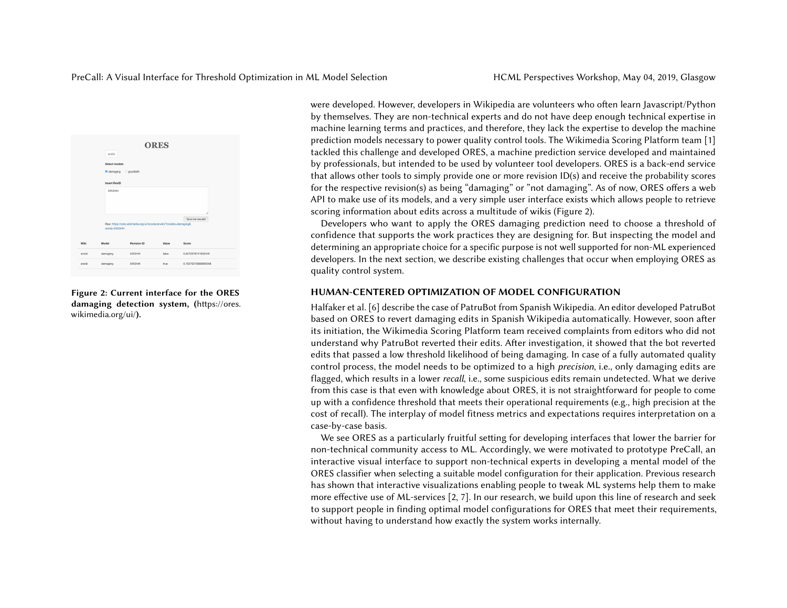

Figure 2: Current interface for the ORES damaging detection system, ([https://ores.](https://ores.wikimedia.org/ui/) [wikimedia.org/ui/](https://ores.wikimedia.org/ui/)).

were developed. However, developers in Wikipedia are volunteers who often learn Javascript/Python by themselves. They are non-technical experts and do not have deep enough technical expertise in machine learning terms and practices, and therefore, they lack the expertise to develop the machine prediction models necessary to power quality control tools. The Wikimedia Scoring Platform team [\[1\]](#page-5-5) tackled this challenge and developed ORES, a machine prediction service developed and maintained by professionals, but intended to be used by volunteer tool developers. ORES is a back-end service that allows other tools to simply provide one or more revision ID(s) and receive the probability scores for the respective revision(s) as being "damaging" or "not damaging". As of now, ORES offers a web API to make use of its models, and a very simple user interface exists which allows people to retrieve scoring information about edits across a multitude of wikis [\(Figure 2\)](#page-2-0).

Developers who want to apply the ORES damaging prediction need to choose a threshold of confidence that supports the work practices they are designing for. But inspecting the model and determining an appropriate choice for a specific purpose is not well supported for non-ML experienced developers. In the next section, we describe existing challenges that occur when employing ORES as quality control system.

# <span id="page-2-0"></span>HUMAN-CENTERED OPTIMIZATION OF MODEL CONFIGURATION

Halfaker et al. [\[6\]](#page-5-6) describe the case of PatruBot from Spanish Wikipedia. An editor developed PatruBot based on ORES to revert damaging edits in Spanish Wikipedia automatically. However, soon after its initiation, the Wikimedia Scoring Platform team received complaints from editors who did not understand why PatruBot reverted their edits. After investigation, it showed that the bot reverted edits that passed a low threshold likelihood of being damaging. In case of a fully automated quality control process, the model needs to be optimized to a high precision, i.e., only damaging edits are flagged, which results in a lower recall, i.e., some suspicious edits remain undetected. What we derive from this case is that even with knowledge about ORES, it is not straightforward for people to come up with a confidence threshold that meets their operational requirements (e.g., high precision at the cost of recall). The interplay of model fitness metrics and expectations requires interpretation on a case-by-case basis.

We see ORES as a particularly fruitful setting for developing interfaces that lower the barrier for non-technical community access to ML. Accordingly, we were motivated to prototype PreCall, an interactive visual interface to support non-technical experts in developing a mental model of the ORES classifier when selecting a suitable model configuration for their application. Previous research has shown that interactive visualizations enabling people to tweak ML systems help them to make more effective use of ML-services [\[2,](#page-5-7) [7\]](#page-5-8). In our research, we build upon this line of research and seek to support people in finding optimal model configurations for ORES that meet their requirements, without having to understand how exactly the system works internally.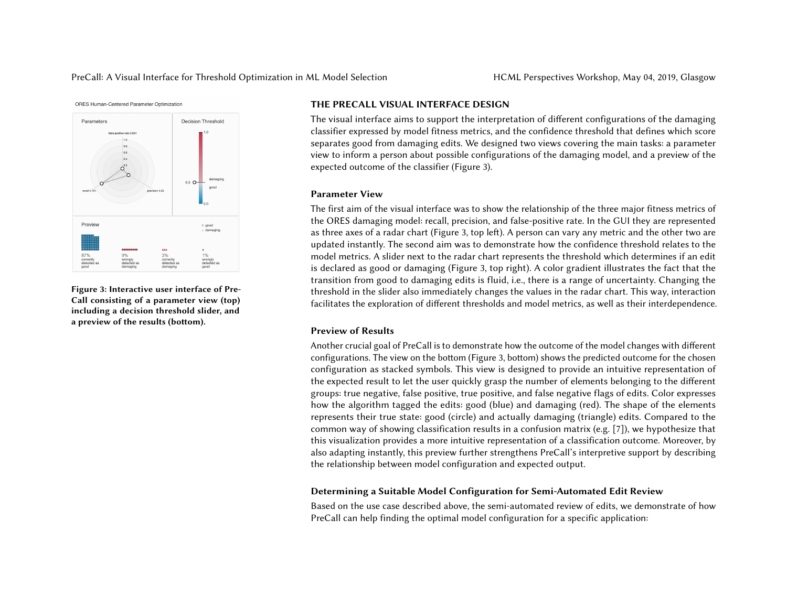



Figure 3: Interactive user interface of Pre-Call consisting of a parameter view (top) including a decision threshold slider, and a preview of the results (bottom).

#### THE PRECALL VISUAL INTERFACE DESIGN

The visual interface aims to support the interpretation of different configurations of the damaging classifier expressed by model fitness metrics, and the confidence threshold that defines which score separates good from damaging edits. We designed two views covering the main tasks: a parameter view to inform a person about possible configurations of the damaging model, and a preview of the expected outcome of the classifier [\(Figure 3\)](#page-3-0).

# <span id="page-3-0"></span>Parameter View

The first aim of the visual interface was to show the relationship of the three major fitness metrics of the ORES damaging model: recall, precision, and false-positive rate. In the GUI they are represented as three axes of a radar chart [\(Figure 3,](#page-3-0) top left). A person can vary any metric and the other two are updated instantly. The second aim was to demonstrate how the confidence threshold relates to the model metrics. A slider next to the radar chart represents the threshold which determines if an edit is declared as good or damaging [\(Figure 3,](#page-3-0) top right). A color gradient illustrates the fact that the transition from good to damaging edits is fluid, i.e., there is a range of uncertainty. Changing the threshold in the slider also immediately changes the values in the radar chart. This way, interaction facilitates the exploration of different thresholds and model metrics, as well as their interdependence.

## Preview of Results

Another crucial goal of PreCall is to demonstrate how the outcome of the model changes with different configurations. The view on the bottom [\(Figure 3,](#page-3-0) bottom) shows the predicted outcome for the chosen configuration as stacked symbols. This view is designed to provide an intuitive representation of the expected result to let the user quickly grasp the number of elements belonging to the different groups: true negative, false positive, true positive, and false negative flags of edits. Color expresses how the algorithm tagged the edits: good (blue) and damaging (red). The shape of the elements represents their true state: good (circle) and actually damaging (triangle) edits. Compared to the common way of showing classification results in a confusion matrix (e.g. [\[7\]](#page-5-8)), we hypothesize that this visualization provides a more intuitive representation of a classification outcome. Moreover, by also adapting instantly, this preview further strengthens PreCall's interpretive support by describing the relationship between model configuration and expected output.

# Determining a Suitable Model Configuration for Semi-Automated Edit Review

Based on the use case described above, the semi-automated review of edits, we demonstrate of how PreCall can help finding the optimal model configuration for a specific application: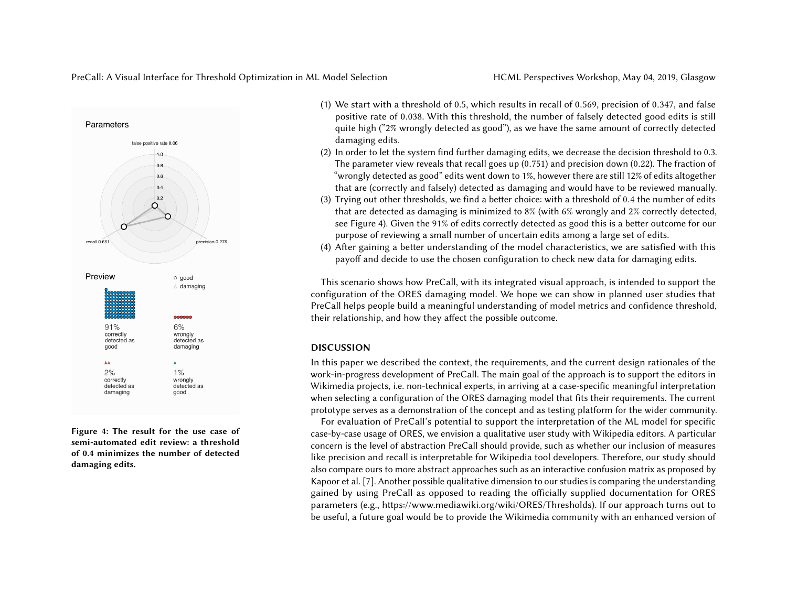PreCall: A Visual Interface for Threshold Optimization in ML Model Selection HCML Perspectives Workshop, May 04, 2019, Glasgow



Figure 4: The result for the use case of semi-automated edit review: a threshold of 0.4 minimizes the number of detected damaging edits.

- (1) We start with a threshold of 0.5, which results in recall of <sup>0</sup>.569, precision of <sup>0</sup>.347, and false positive rate of <sup>0</sup>.038. With this threshold, the number of falsely detected good edits is still quite high ("2% wrongly detected as good"), as we have the same amount of correctly detected damaging edits.
- (2) In order to let the system find further damaging edits, we decrease the decision threshold to 0.3. The parameter view reveals that recall goes up (0.751) and precision down (0.22). The fraction of "wrongly detected as good" edits went down to 1%, however there are still 12% of edits altogether that are (correctly and falsely) detected as damaging and would have to be reviewed manually.
- (3) Trying out other thresholds, we find a better choice: with a threshold of <sup>0</sup>.<sup>4</sup> the number of edits that are detected as damaging is minimized to 8% (with 6% wrongly and 2% correctly detected, see [Figure 4\)](#page-4-0). Given the 91% of edits correctly detected as good this is a better outcome for our purpose of reviewing a small number of uncertain edits among a large set of edits.
- (4) After gaining a better understanding of the model characteristics, we are satisfied with this payoff and decide to use the chosen configuration to check new data for damaging edits.

This scenario shows how PreCall, with its integrated visual approach, is intended to support the configuration of the ORES damaging model. We hope we can show in planned user studies that PreCall helps people build a meaningful understanding of model metrics and confidence threshold, their relationship, and how they affect the possible outcome.

# <span id="page-4-0"></span>DISCUSSION

In this paper we described the context, the requirements, and the current design rationales of the work-in-progress development of PreCall. The main goal of the approach is to support the editors in Wikimedia projects, i.e. non-technical experts, in arriving at a case-specific meaningful interpretation when selecting a configuration of the ORES damaging model that fits their requirements. The current prototype serves as a demonstration of the concept and as testing platform for the wider community.

For evaluation of PreCall's potential to support the interpretation of the ML model for specific case-by-case usage of ORES, we envision a qualitative user study with Wikipedia editors. A particular concern is the level of abstraction PreCall should provide, such as whether our inclusion of measures like precision and recall is interpretable for Wikipedia tool developers. Therefore, our study should also compare ours to more abstract approaches such as an interactive confusion matrix as proposed by Kapoor et al. [\[7\]](#page-5-8). Another possible qualitative dimension to our studies is comparing the understanding gained by using PreCall as opposed to reading the officially supplied documentation for ORES parameters (e.g., [https://www.mediawiki.org/wiki/ORES/Thresholds\)](https://www.mediawiki.org/wiki/ORES/Thresholds). If our approach turns out to be useful, a future goal would be to provide the Wikimedia community with an enhanced version of